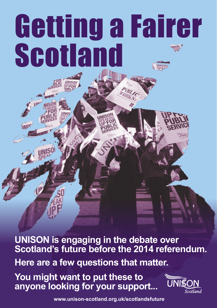## Getting a Fairer Scotland

**UNISON is engaging in the debate over Scotland's future before the 2014 referendum. Here are a few questions that matter.**

**You might want to put these to anyone looking for your support...**



**www.unison-scotland.org.uk/scotlandsfuture**